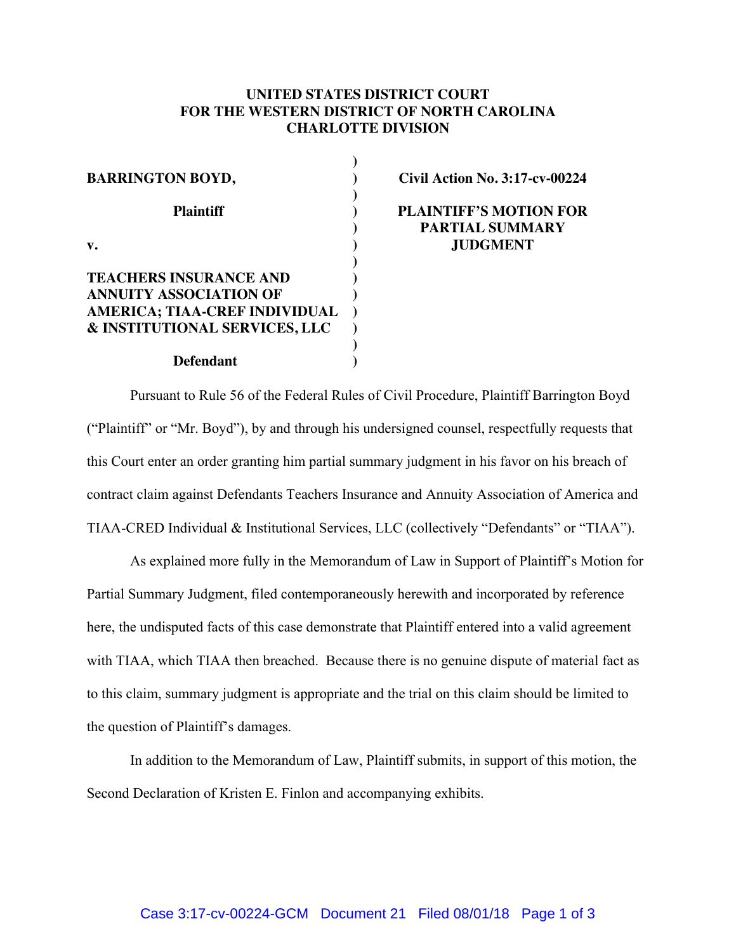## **UNITED STATES DISTRICT COURT FOR THE WESTERN DISTRICT OF NORTH CAROLINA CHARLOTTE DIVISION**

| <b>BARRINGTON BOYD,</b>              |  |
|--------------------------------------|--|
| Plaintiff                            |  |
|                                      |  |
| <b>TEACHERS INSURANCE AND</b>        |  |
| <b>ANNUITY ASSOCIATION OF</b>        |  |
| <b>AMERICA; TIAA-CREF INDIVIDUAL</b> |  |
| & INSTITUTIONAL SERVICES, LLC        |  |
|                                      |  |
| <b>Defendant</b>                     |  |

**Civil Action No. 3:17-cv-00224**

**PLAINTIFF'S MOTION FOR PARTIAL SUMMARY JUDGMENT**

Pursuant to Rule 56 of the Federal Rules of Civil Procedure, Plaintiff Barrington Boyd ("Plaintiff" or "Mr. Boyd"), by and through his undersigned counsel, respectfully requests that this Court enter an order granting him partial summary judgment in his favor on his breach of contract claim against Defendants Teachers Insurance and Annuity Association of America and TIAA-CRED Individual & Institutional Services, LLC (collectively "Defendants" or "TIAA").

As explained more fully in the Memorandum of Law in Support of Plaintiff's Motion for Partial Summary Judgment, filed contemporaneously herewith and incorporated by reference here, the undisputed facts of this case demonstrate that Plaintiff entered into a valid agreement with TIAA, which TIAA then breached. Because there is no genuine dispute of material fact as to this claim, summary judgment is appropriate and the trial on this claim should be limited to the question of Plaintiff's damages.

In addition to the Memorandum of Law, Plaintiff submits, in support of this motion, the Second Declaration of Kristen E. Finlon and accompanying exhibits.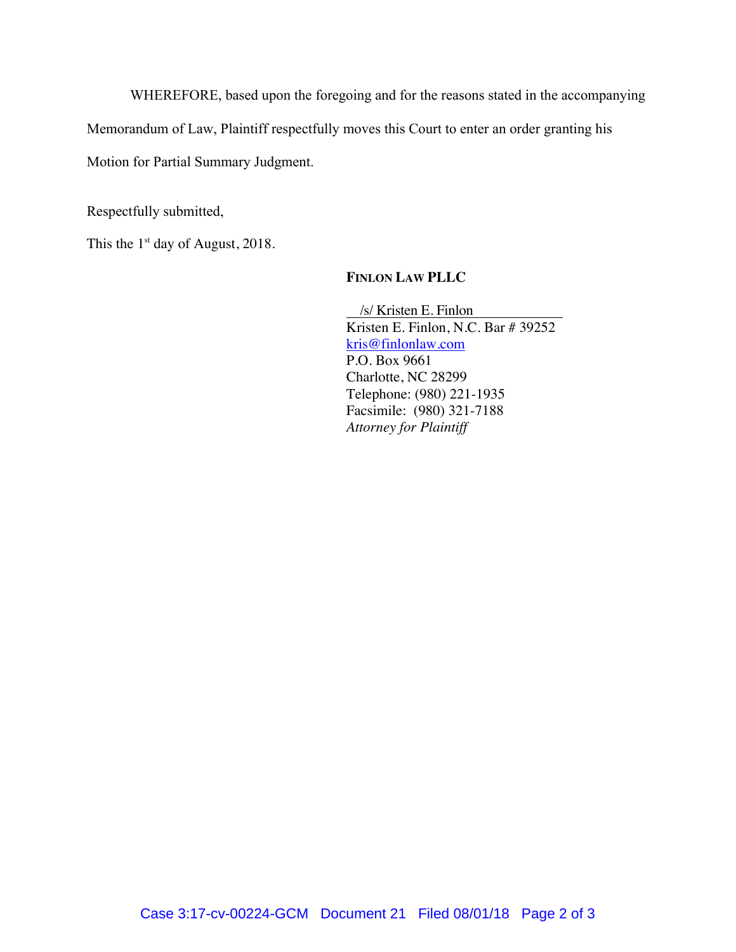WHEREFORE, based upon the foregoing and for the reasons stated in the accompanying

Memorandum of Law, Plaintiff respectfully moves this Court to enter an order granting his

Motion for Partial Summary Judgment.

Respectfully submitted,

This the  $1<sup>st</sup>$  day of August, 2018.

## **FINLON LAW PLLC**

 /s/ Kristen E. Finlon Kristen E. Finlon, N.C. Bar # 39252 [kris@finlonlaw.com](mailto:kris@finlonlaw.com) P.O. Box 9661 Charlotte, NC 28299 Telephone: (980) 221-1935 Facsimile: (980) 321-7188 *Attorney for Plaintiff*